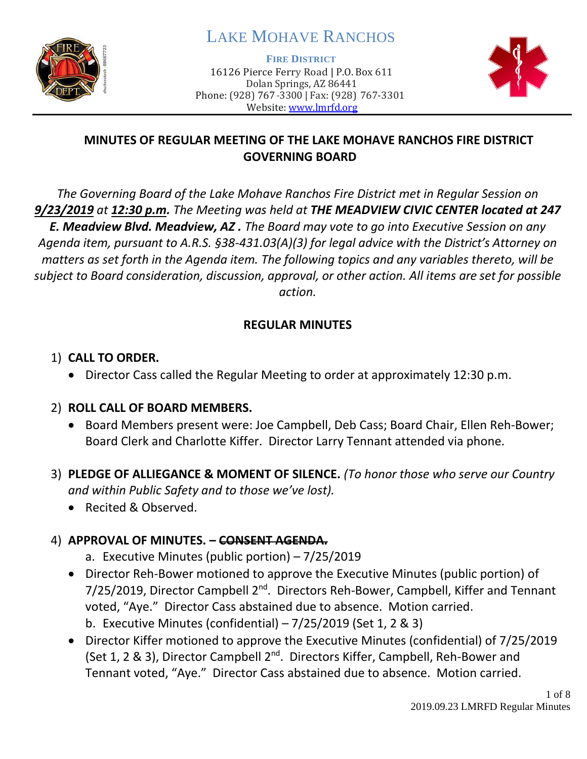

# LAKE MOHAVE RANCHOS

**FIRE DISTRICT**

16126 Pierce Ferry Road | P.O. Box 611 Dolan Springs, AZ 86441 Phone: (928) 767-3300 | Fax: (928) 767-3301 Website: [www.lmrfd.org](http://www.lmrfd.org/)



### **MINUTES OF REGULAR MEETING OF THE LAKE MOHAVE RANCHOS FIRE DISTRICT GOVERNING BOARD**

*The Governing Board of the Lake Mohave Ranchos Fire District met in Regular Session on 9/23/2019 at 12:30 p.m. The Meeting was held at THE MEADVIEW CIVIC CENTER located at 247 E. Meadview Blvd. Meadview, AZ . The Board may vote to go into Executive Session on any Agenda item, pursuant to A.R.S. §38-431.03(A)(3) for legal advice with the District's Attorney on matters as set forth in the Agenda item. The following topics and any variables thereto, will be subject to Board consideration, discussion, approval, or other action. All items are set for possible action.*

### **REGULAR MINUTES**

### 1) **CALL TO ORDER.**

• Director Cass called the Regular Meeting to order at approximately 12:30 p.m.

### 2) **ROLL CALL OF BOARD MEMBERS.**

- Board Members present were: Joe Campbell, Deb Cass; Board Chair, Ellen Reh-Bower; Board Clerk and Charlotte Kiffer. Director Larry Tennant attended via phone.
- 3) **PLEDGE OF ALLIEGANCE & MOMENT OF SILENCE.** *(To honor those who serve our Country and within Public Safety and to those we've lost).*
	- Recited & Observed.

# 4) **APPROVAL OF MINUTES. – CONSENT AGENDA.**

- a. Executive Minutes (public portion) 7/25/2019
- Director Reh-Bower motioned to approve the Executive Minutes (public portion) of 7/25/2019, Director Campbell 2<sup>nd</sup>. Directors Reh-Bower, Campbell, Kiffer and Tennant voted, "Aye." Director Cass abstained due to absence. Motion carried. b. Executive Minutes (confidential) – 7/25/2019 (Set 1, 2 & 3)
- Director Kiffer motioned to approve the Executive Minutes (confidential) of 7/25/2019 (Set 1, 2 & 3), Director Campbell 2<sup>nd</sup>. Directors Kiffer, Campbell, Reh-Bower and Tennant voted, "Aye." Director Cass abstained due to absence. Motion carried.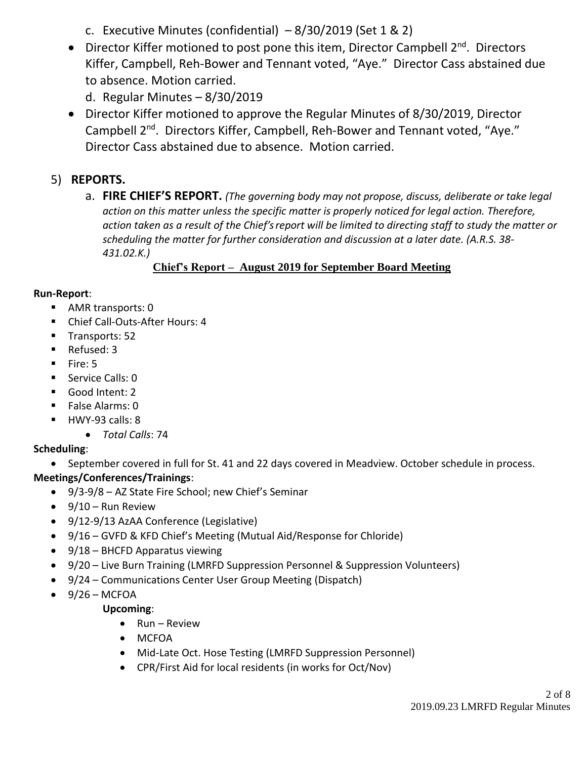c. Executive Minutes (confidential)  $-8/30/2019$  (Set 1 & 2)

- Director Kiffer motioned to post pone this item, Director Campbell  $2^{nd}$ . Directors Kiffer, Campbell, Reh-Bower and Tennant voted, "Aye." Director Cass abstained due to absence. Motion carried.
	- d. Regular Minutes 8/30/2019
- Director Kiffer motioned to approve the Regular Minutes of 8/30/2019, Director Campbell 2<sup>nd</sup>. Directors Kiffer, Campbell, Reh-Bower and Tennant voted, "Aye." Director Cass abstained due to absence. Motion carried.

### 5) **REPORTS.**

a. **FIRE CHIEF'S REPORT.** *(The governing body may not propose, discuss, deliberate or take legal action on this matter unless the specific matter is properly noticed for legal action. Therefore, action taken as a result of the Chief's report will be limited to directing staff to study the matter or scheduling the matter for further consideration and discussion at a later date. (A.R.S. 38- 431.02.K.)*

#### **Chief's Report – August 2019 for September Board Meeting**

#### **Run-Report**:

- AMR transports: 0
- Chief Call-Outs-After Hours: 4
- Transports: 52
- Refused: 3
- Fire: 5
- Service Calls: 0
- Good Intent: 2
- False Alarms: 0
- HWY-93 calls: 8
	- *Total Calls*: 74

#### **Scheduling**:

• September covered in full for St. 41 and 22 days covered in Meadview. October schedule in process.

#### **Meetings/Conferences/Trainings**:

- 9/3-9/8 AZ State Fire School; new Chief's Seminar
- $\bullet$  9/10 Run Review
- 9/12-9/13 AzAA Conference (Legislative)
- 9/16 GVFD & KFD Chief's Meeting (Mutual Aid/Response for Chloride)
- 9/18 BHCFD Apparatus viewing
- 9/20 Live Burn Training (LMRFD Suppression Personnel & Suppression Volunteers)
- 9/24 Communications Center User Group Meeting (Dispatch)
- $\bullet$  9/26 MCFOA

#### **Upcoming**:

- Run Review
- MCFOA
- Mid-Late Oct. Hose Testing (LMRFD Suppression Personnel)
- CPR/First Aid for local residents (in works for Oct/Nov)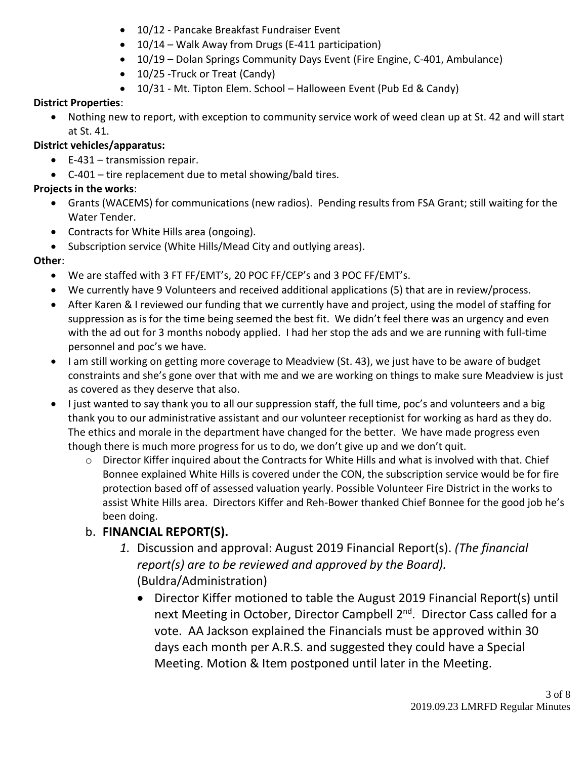- 10/12 Pancake Breakfast Fundraiser Event
- 10/14 Walk Away from Drugs (E-411 participation)
- 10/19 Dolan Springs Community Days Event (Fire Engine, C-401, Ambulance)
- 10/25 Truck or Treat (Candy)
- 10/31 Mt. Tipton Elem. School Halloween Event (Pub Ed & Candy)

#### **District Properties**:

• Nothing new to report, with exception to community service work of weed clean up at St. 42 and will start at St. 41.

#### **District vehicles/apparatus:**

- E-431 transmission repair.
- C-401 tire replacement due to metal showing/bald tires.

#### **Projects in the works**:

- Grants (WACEMS) for communications (new radios). Pending results from FSA Grant; still waiting for the Water Tender.
- Contracts for White Hills area (ongoing).
- Subscription service (White Hills/Mead City and outlying areas).

### **Other**:

- We are staffed with 3 FT FF/EMT's, 20 POC FF/CEP's and 3 POC FF/EMT's.
- We currently have 9 Volunteers and received additional applications (5) that are in review/process.
- After Karen & I reviewed our funding that we currently have and project, using the model of staffing for suppression as is for the time being seemed the best fit. We didn't feel there was an urgency and even with the ad out for 3 months nobody applied. I had her stop the ads and we are running with full-time personnel and poc's we have.
- I am still working on getting more coverage to Meadview (St. 43), we just have to be aware of budget constraints and she's gone over that with me and we are working on things to make sure Meadview is just as covered as they deserve that also.
- I just wanted to say thank you to all our suppression staff, the full time, poc's and volunteers and a big thank you to our administrative assistant and our volunteer receptionist for working as hard as they do. The ethics and morale in the department have changed for the better. We have made progress even though there is much more progress for us to do, we don't give up and we don't quit.
	- $\circ$  Director Kiffer inquired about the Contracts for White Hills and what is involved with that. Chief Bonnee explained White Hills is covered under the CON, the subscription service would be for fire protection based off of assessed valuation yearly. Possible Volunteer Fire District in the works to assist White Hills area. Directors Kiffer and Reh-Bower thanked Chief Bonnee for the good job he's been doing.

# b. **FINANCIAL REPORT(S).**

- *1.* Discussion and approval: August 2019 Financial Report(s). *(The financial report(s) are to be reviewed and approved by the Board).* (Buldra/Administration)
	- Director Kiffer motioned to table the August 2019 Financial Report(s) until next Meeting in October, Director Campbell 2<sup>nd</sup>. Director Cass called for a vote. AA Jackson explained the Financials must be approved within 30 days each month per A.R.S. and suggested they could have a Special Meeting. Motion & Item postponed until later in the Meeting.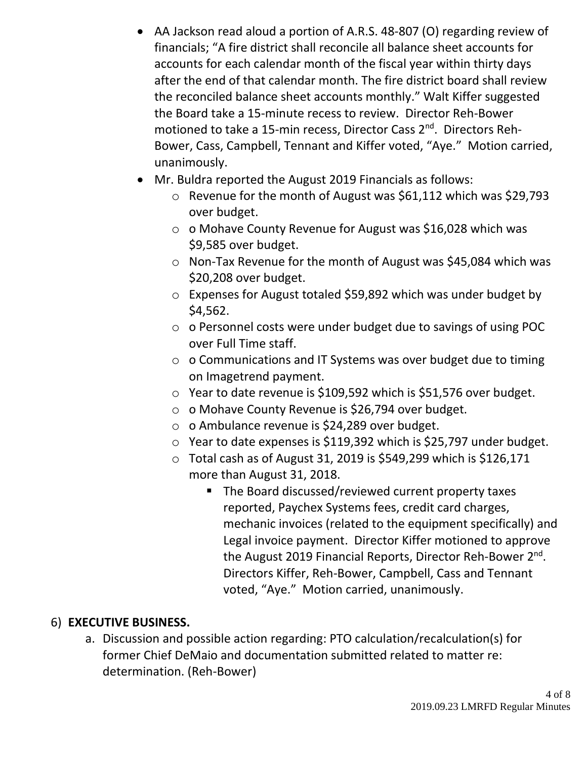- AA Jackson read aloud a portion of A.R.S. 48-807 (O) regarding review of financials; "A fire district shall reconcile all balance sheet accounts for accounts for each calendar month of the fiscal year within thirty days after the end of that calendar month. The fire district board shall review the reconciled balance sheet accounts monthly." Walt Kiffer suggested the Board take a 15-minute recess to review. Director Reh-Bower motioned to take a 15-min recess, Director Cass 2<sup>nd</sup>. Directors Reh-Bower, Cass, Campbell, Tennant and Kiffer voted, "Aye." Motion carried, unanimously.
- Mr. Buldra reported the August 2019 Financials as follows:
	- o Revenue for the month of August was \$61,112 which was \$29,793 over budget.
	- o o Mohave County Revenue for August was \$16,028 which was \$9,585 over budget.
	- o Non‐Tax Revenue for the month of August was \$45,084 which was \$20,208 over budget.
	- o Expenses for August totaled \$59,892 which was under budget by \$4,562.
	- o o Personnel costs were under budget due to savings of using POC over Full Time staff.
	- o o Communications and IT Systems was over budget due to timing on Imagetrend payment.
	- o Year to date revenue is \$109,592 which is \$51,576 over budget.
	- o o Mohave County Revenue is \$26,794 over budget.
	- o o Ambulance revenue is \$24,289 over budget.
	- o Year to date expenses is \$119,392 which is \$25,797 under budget.
	- $\circ$  Total cash as of August 31, 2019 is \$549,299 which is \$126,171 more than August 31, 2018.
		- The Board discussed/reviewed current property taxes reported, Paychex Systems fees, credit card charges, mechanic invoices (related to the equipment specifically) and Legal invoice payment. Director Kiffer motioned to approve the August 2019 Financial Reports, Director Reh-Bower 2<sup>nd</sup>. Directors Kiffer, Reh-Bower, Campbell, Cass and Tennant voted, "Aye." Motion carried, unanimously.

### 6) **EXECUTIVE BUSINESS.**

a. Discussion and possible action regarding: PTO calculation/recalculation(s) for former Chief DeMaio and documentation submitted related to matter re: determination. (Reh-Bower)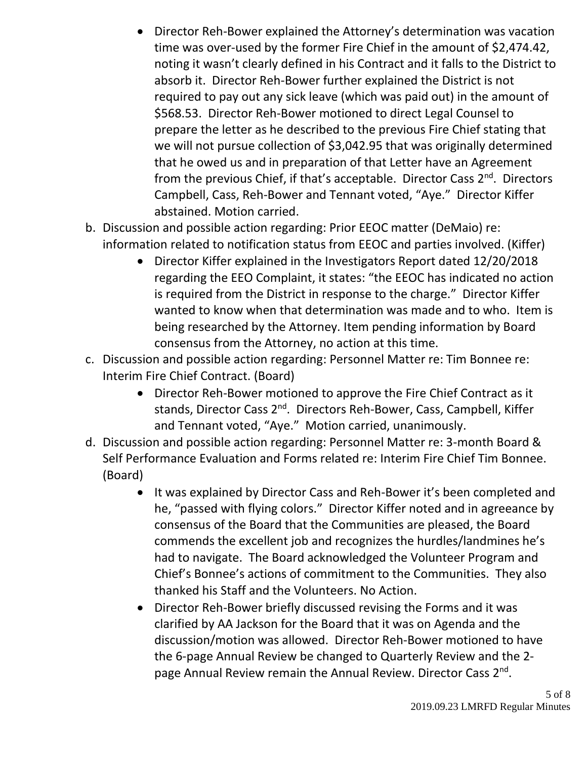- Director Reh-Bower explained the Attorney's determination was vacation time was over-used by the former Fire Chief in the amount of \$2,474.42, noting it wasn't clearly defined in his Contract and it falls to the District to absorb it. Director Reh-Bower further explained the District is not required to pay out any sick leave (which was paid out) in the amount of \$568.53. Director Reh-Bower motioned to direct Legal Counsel to prepare the letter as he described to the previous Fire Chief stating that we will not pursue collection of \$3,042.95 that was originally determined that he owed us and in preparation of that Letter have an Agreement from the previous Chief, if that's acceptable. Director Cass 2<sup>nd</sup>. Directors Campbell, Cass, Reh-Bower and Tennant voted, "Aye." Director Kiffer abstained. Motion carried.
- b. Discussion and possible action regarding: Prior EEOC matter (DeMaio) re: information related to notification status from EEOC and parties involved. (Kiffer)
	- Director Kiffer explained in the Investigators Report dated 12/20/2018 regarding the EEO Complaint, it states: "the EEOC has indicated no action is required from the District in response to the charge." Director Kiffer wanted to know when that determination was made and to who. Item is being researched by the Attorney. Item pending information by Board consensus from the Attorney, no action at this time.
- c. Discussion and possible action regarding: Personnel Matter re: Tim Bonnee re: Interim Fire Chief Contract. (Board)
	- Director Reh-Bower motioned to approve the Fire Chief Contract as it stands, Director Cass 2<sup>nd</sup>. Directors Reh-Bower, Cass, Campbell, Kiffer and Tennant voted, "Aye." Motion carried, unanimously.
- d. Discussion and possible action regarding: Personnel Matter re: 3-month Board & Self Performance Evaluation and Forms related re: Interim Fire Chief Tim Bonnee. (Board)
	- It was explained by Director Cass and Reh-Bower it's been completed and he, "passed with flying colors." Director Kiffer noted and in agreeance by consensus of the Board that the Communities are pleased, the Board commends the excellent job and recognizes the hurdles/landmines he's had to navigate. The Board acknowledged the Volunteer Program and Chief's Bonnee's actions of commitment to the Communities. They also thanked his Staff and the Volunteers. No Action.
	- Director Reh-Bower briefly discussed revising the Forms and it was clarified by AA Jackson for the Board that it was on Agenda and the discussion/motion was allowed. Director Reh-Bower motioned to have the 6-page Annual Review be changed to Quarterly Review and the 2 page Annual Review remain the Annual Review. Director Cass 2<sup>nd</sup>.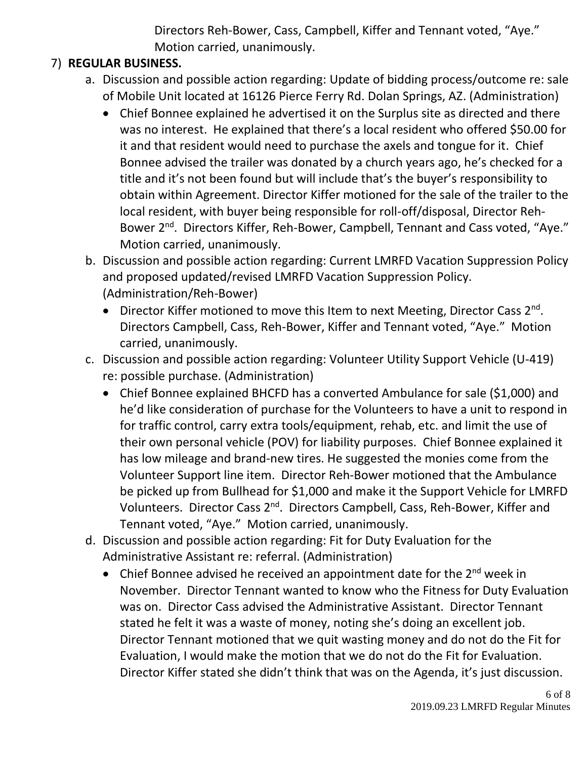Directors Reh-Bower, Cass, Campbell, Kiffer and Tennant voted, "Aye." Motion carried, unanimously.

### 7) **REGULAR BUSINESS.**

- a. Discussion and possible action regarding: Update of bidding process/outcome re: sale of Mobile Unit located at 16126 Pierce Ferry Rd. Dolan Springs, AZ. (Administration)
	- Chief Bonnee explained he advertised it on the Surplus site as directed and there was no interest. He explained that there's a local resident who offered \$50.00 for it and that resident would need to purchase the axels and tongue for it. Chief Bonnee advised the trailer was donated by a church years ago, he's checked for a title and it's not been found but will include that's the buyer's responsibility to obtain within Agreement. Director Kiffer motioned for the sale of the trailer to the local resident, with buyer being responsible for roll-off/disposal, Director Reh-Bower 2<sup>nd</sup>. Directors Kiffer, Reh-Bower, Campbell, Tennant and Cass voted, "Aye." Motion carried, unanimously.
- b. Discussion and possible action regarding: Current LMRFD Vacation Suppression Policy and proposed updated/revised LMRFD Vacation Suppression Policy. (Administration/Reh-Bower)
	- Director Kiffer motioned to move this Item to next Meeting, Director Cass 2<sup>nd</sup>. Directors Campbell, Cass, Reh-Bower, Kiffer and Tennant voted, "Aye." Motion carried, unanimously.
- c. Discussion and possible action regarding: Volunteer Utility Support Vehicle (U-419) re: possible purchase. (Administration)
	- Chief Bonnee explained BHCFD has a converted Ambulance for sale (\$1,000) and he'd like consideration of purchase for the Volunteers to have a unit to respond in for traffic control, carry extra tools/equipment, rehab, etc. and limit the use of their own personal vehicle (POV) for liability purposes. Chief Bonnee explained it has low mileage and brand-new tires. He suggested the monies come from the Volunteer Support line item. Director Reh-Bower motioned that the Ambulance be picked up from Bullhead for \$1,000 and make it the Support Vehicle for LMRFD Volunteers. Director Cass 2nd. Directors Campbell, Cass, Reh-Bower, Kiffer and Tennant voted, "Aye." Motion carried, unanimously.
- d. Discussion and possible action regarding: Fit for Duty Evaluation for the Administrative Assistant re: referral. (Administration)
	- Chief Bonnee advised he received an appointment date for the 2<sup>nd</sup> week in November. Director Tennant wanted to know who the Fitness for Duty Evaluation was on. Director Cass advised the Administrative Assistant. Director Tennant stated he felt it was a waste of money, noting she's doing an excellent job. Director Tennant motioned that we quit wasting money and do not do the Fit for Evaluation, I would make the motion that we do not do the Fit for Evaluation. Director Kiffer stated she didn't think that was on the Agenda, it's just discussion.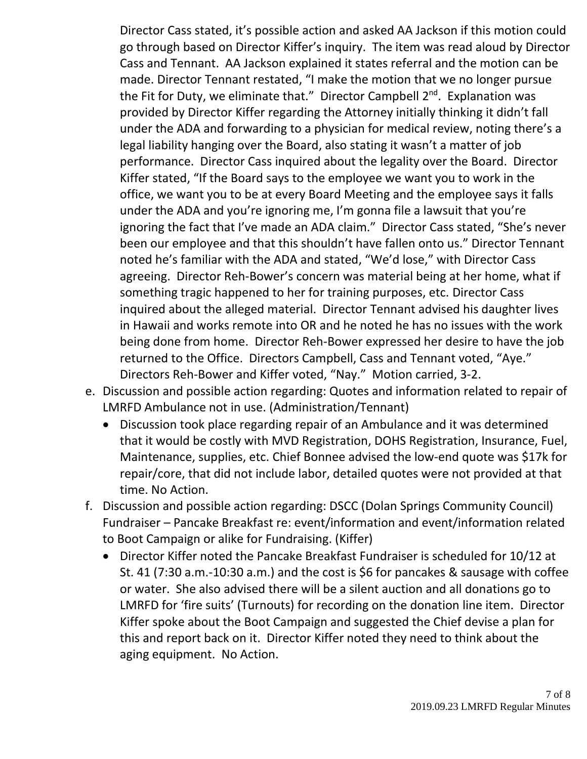Director Cass stated, it's possible action and asked AA Jackson if this motion could go through based on Director Kiffer's inquiry. The item was read aloud by Director Cass and Tennant. AA Jackson explained it states referral and the motion can be made. Director Tennant restated, "I make the motion that we no longer pursue the Fit for Duty, we eliminate that." Director Campbell 2<sup>nd</sup>. Explanation was provided by Director Kiffer regarding the Attorney initially thinking it didn't fall under the ADA and forwarding to a physician for medical review, noting there's a legal liability hanging over the Board, also stating it wasn't a matter of job performance. Director Cass inquired about the legality over the Board. Director Kiffer stated, "If the Board says to the employee we want you to work in the office, we want you to be at every Board Meeting and the employee says it falls under the ADA and you're ignoring me, I'm gonna file a lawsuit that you're ignoring the fact that I've made an ADA claim." Director Cass stated, "She's never been our employee and that this shouldn't have fallen onto us." Director Tennant noted he's familiar with the ADA and stated, "We'd lose," with Director Cass agreeing. Director Reh-Bower's concern was material being at her home, what if something tragic happened to her for training purposes, etc. Director Cass inquired about the alleged material. Director Tennant advised his daughter lives in Hawaii and works remote into OR and he noted he has no issues with the work being done from home. Director Reh-Bower expressed her desire to have the job returned to the Office. Directors Campbell, Cass and Tennant voted, "Aye." Directors Reh-Bower and Kiffer voted, "Nay." Motion carried, 3-2.

- e. Discussion and possible action regarding: Quotes and information related to repair of LMRFD Ambulance not in use. (Administration/Tennant)
	- Discussion took place regarding repair of an Ambulance and it was determined that it would be costly with MVD Registration, DOHS Registration, Insurance, Fuel, Maintenance, supplies, etc. Chief Bonnee advised the low-end quote was \$17k for repair/core, that did not include labor, detailed quotes were not provided at that time. No Action.
- f. Discussion and possible action regarding: DSCC (Dolan Springs Community Council) Fundraiser – Pancake Breakfast re: event/information and event/information related to Boot Campaign or alike for Fundraising. (Kiffer)
	- Director Kiffer noted the Pancake Breakfast Fundraiser is scheduled for 10/12 at St. 41 (7:30 a.m.-10:30 a.m.) and the cost is \$6 for pancakes & sausage with coffee or water. She also advised there will be a silent auction and all donations go to LMRFD for 'fire suits' (Turnouts) for recording on the donation line item. Director Kiffer spoke about the Boot Campaign and suggested the Chief devise a plan for this and report back on it. Director Kiffer noted they need to think about the aging equipment. No Action.